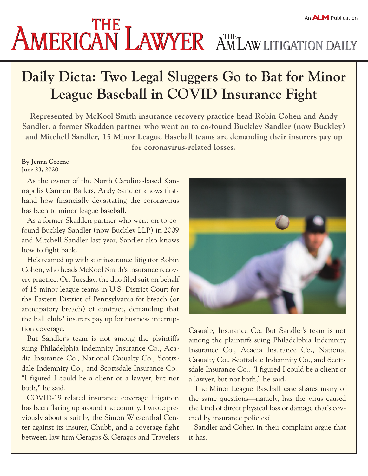## **Daily Dicta: Two Legal Sluggers Go to Bat for Minor League Baseball in COVID Insurance Fight**

**Represented by McKool Smith insurance recovery practice head Robin Cohen and Andy Sandler, a former Skadden partner who went on to co-found Buckley Sandler (now Buckley) and Mitchell Sandler, 15 Minor League Baseball teams are demanding their insurers pay up for coronavirus-related losses.**

## **By Jenna Greene June 23, 2020**

As the owner of the North Carolina-based Kannapolis Cannon Ballers, Andy Sandler knows firsthand how financially devastating the coronavirus has been to minor league baseball.

As a former Skadden partner who went on to cofound Buckley Sandler (now Buckley LLP) in 2009 and Mitchell Sandler last year, Sandler also knows how to fight back.

He's teamed up with star insurance litigator Robin Cohen, who heads McKool Smith's insurance recovery practice. On Tuesday, the duo filed suit on behalf of 15 minor league teams in U.S. District Court for the Eastern District of Pennsylvania for breach (or anticipatory breach) of contract, demanding that the ball clubs' insurers pay up for business interruption coverage.

But Sandler's team is not among the plaintiffs suing Philadelphia Indemnity Insurance Co., Acadia Insurance Co., National Casualty Co., Scottsdale Indemnity Co., and Scottsdale Insurance Co.. "I figured I could be a client or a lawyer, but not both," he said.

COVID-19 related insurance coverage litigation has been flaring up around the country. I wrote previously about a suit by the Simon Wiesenthal Center against its insurer, Chubb, and a coverage fight between law firm Geragos & Geragos and Travelers



Casualty Insurance Co. But Sandler's team is not among the plaintiffs suing Philadelphia Indemnity Insurance Co., Acadia Insurance Co., National Casualty Co., Scottsdale Indemnity Co., and Scottsdale Insurance Co.. "I figured I could be a client or a lawyer, but not both," he said.

The Minor League Baseball case shares many of the same questions—namely, has the virus caused the kind of direct physical loss or damage that's covered by insurance policies?

Sandler and Cohen in their complaint argue that it has.